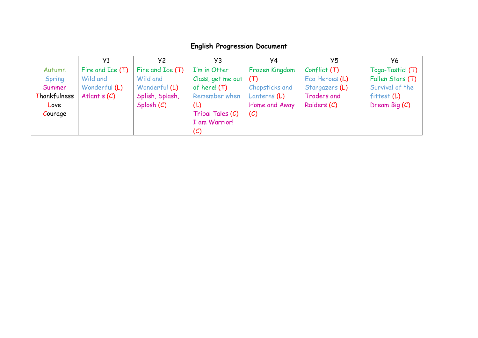## **English Progression Document**

|              | Y <sub>1</sub>   | Y <sub>2</sub>    | Y3                | Y4             | Y5                 | У6               |
|--------------|------------------|-------------------|-------------------|----------------|--------------------|------------------|
| Autumn       | Fire and Ice (T) | Fire and $Ice(T)$ | I'm in Otter      | Frozen Kingdom | Conflict(T)        | Toga-Tastic! (T) |
| Spring       | Wild and         | Wild and          | Class, get me out | (T)            | Eco Heroes (L)     | Fallen Stars (T) |
| Summer       | Wonderful (L)    | Wonderful (L)     | of here! $(T)$    | Chopsticks and | Stargazers (L)     | Survival of the  |
| Thankfulness | Atlantis $(C)$   | Splish, Splash,   | Remember when     | Lanterns (L)   | <b>Traders and</b> | fitter(L)        |
| Love         |                  | Splosh (C)        | (L)               | Home and Away  | Raiders (C)        | Dream Big (C)    |
| Courage      |                  |                   | Tribal Tales (C)  | (C)            |                    |                  |
|              |                  |                   | I am Warrior!     |                |                    |                  |
|              |                  |                   | (C)               |                |                    |                  |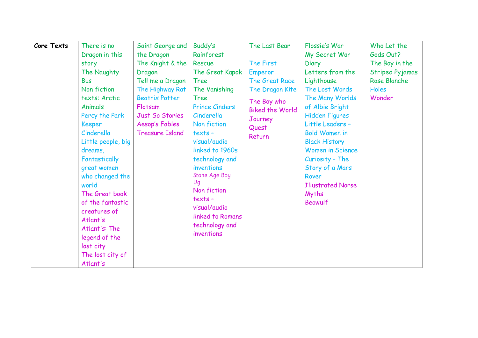| Core Texts | There is no        | Saint George and       | Buddy's               | The Last Bear          | Flossie's War            | Who Let the            |
|------------|--------------------|------------------------|-----------------------|------------------------|--------------------------|------------------------|
|            | Dragon in this     | the Dragon             | Rainforest            |                        | My Secret War            | Gods Out?              |
|            | story              | The Knight & the       | Rescue                | The First              | Diary                    | The Boy in the         |
|            | The Naughty        | Dragon                 | The Great Kapok       | <b>Emperor</b>         | Letters from the         | <b>Striped Pyjamas</b> |
|            | <b>Bus</b>         | Tell me a Dragon       | <b>Tree</b>           | The Great Race         | Lighthouse               | Rose Blanche           |
|            | Non fiction        | The Highway Rat        | The Vanishing         | The Dragon Kite        | The Lost Words           | Holes                  |
|            | texts: Arctic      | <b>Beatrix Potter</b>  | Tree                  | The Boy who            | The Many Worlds          | Wonder                 |
|            | <b>Animals</b>     | Flotsam                | <b>Prince Cinders</b> | <b>Biked the World</b> | of Albie Bright          |                        |
|            | Percy the Park     | Just So Stories        | Cinderella            | Journey                | <b>Hidden Figures</b>    |                        |
|            | <b>Keeper</b>      | Aesop's Fables         | Non fiction           | Quest                  | Little Leaders -         |                        |
|            | Cinderella         | <b>Treasure Island</b> | $texts -$             | Return                 | <b>Bold Women in</b>     |                        |
|            | Little people, big |                        | visual/audio          |                        | <b>Black History</b>     |                        |
|            | dreams,            |                        | linked to 1960s       |                        | <b>Women in Science</b>  |                        |
|            | Fantastically      |                        | technology and        |                        | Curiosity - The          |                        |
|            | great women        |                        | inventions            |                        | Story of a Mars          |                        |
|            | who changed the    |                        | Stone Age Boy         |                        | Rover                    |                        |
|            | world              |                        | Uq                    |                        | <b>Illustrated Norse</b> |                        |
|            | The Great book     |                        | Non fiction           |                        | Myths                    |                        |
|            | of the fantastic   |                        | texts -               |                        | <b>Beowulf</b>           |                        |
|            | creatures of       |                        | visual/audio          |                        |                          |                        |
|            | <b>Atlantis</b>    |                        | linked to Romans      |                        |                          |                        |
|            | Atlantis: The      |                        | technology and        |                        |                          |                        |
|            | legend of the      |                        | inventions            |                        |                          |                        |
|            | lost city          |                        |                       |                        |                          |                        |
|            | The lost city of   |                        |                       |                        |                          |                        |
|            | <b>Atlantis</b>    |                        |                       |                        |                          |                        |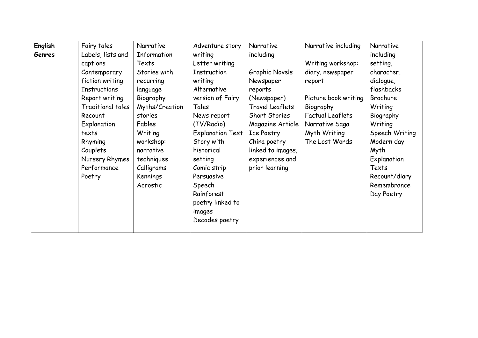| English | Fairy tales              | Narrative      | Adventure story         | Narrative            | Narrative including     | Narrative      |
|---------|--------------------------|----------------|-------------------------|----------------------|-------------------------|----------------|
| Genres  | Labels, lists and        | Information    | writing                 | including            |                         | including      |
|         | captions                 | Texts          | Letter writing          |                      | Writing workshop:       | setting,       |
|         | Contemporary             | Stories with   | Instruction             | Graphic Novels       | diary. newspaper        | character,     |
|         | fiction writing          | recurring      | writing                 | Newspaper            | report                  | dialogue,      |
|         | Instructions             | language       | Alternative             | reports              |                         | flashbacks     |
|         | Report writing           | Biography      | version of Fairy        | (Newspaper)          | Picture book writing    | Brochure       |
|         | <b>Traditional tales</b> | Myths/Creation | Tales                   | Travel Leaflets      | Biography               | Writing        |
|         | Recount                  | stories        | News report             | <b>Short Stories</b> | <b>Factual Leaflets</b> | Biography      |
|         | Explanation              | Fables         | (TV/Radio)              | Magazine Article     | Narrative Saga          | Writing        |
|         | texts                    | Writing        | <b>Explanation Text</b> | Ice Poetry           | Myth Writing            | Speech Writing |
|         | Rhyming                  | workshop:      | Story with              | China poetry         | The Lost Words          | Modern day     |
|         | Couplets                 | narrative      | historical              | linked to images,    |                         | Myth           |
|         | Nursery Rhymes           | techniques     | setting                 | experiences and      |                         | Explanation    |
|         | Performance              | Calligrams     | Comic strip             | prior learning       |                         | Texts          |
|         | Poetry                   | Kennings       | Persuasive              |                      |                         | Recount/diary  |
|         |                          | Acrostic       | Speech                  |                      |                         | Remembrance    |
|         |                          |                | Rainforest              |                      |                         | Day Poetry     |
|         |                          |                | poetry linked to        |                      |                         |                |
|         |                          |                | images                  |                      |                         |                |
|         |                          |                | Decades poetry          |                      |                         |                |
|         |                          |                |                         |                      |                         |                |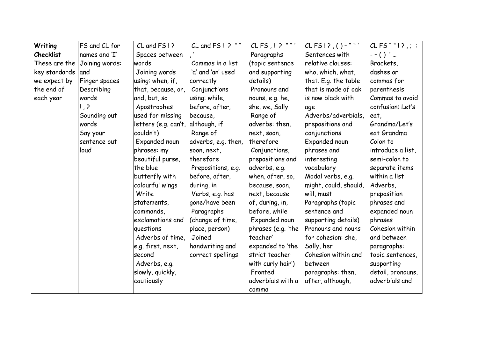| Writing          | FS and CL for                | $CL$ and $FS$ !?     | CL and FS! ? ""     | $CLFS$ , $!$ ? ""' | $CLFS!/$ , () - ""'   | $CLFS$ ""!?;:     |
|------------------|------------------------------|----------------------|---------------------|--------------------|-----------------------|-------------------|
| <b>Checklist</b> | names and 'I'                | Spaces between       |                     | Paragraphs         | Sentences with        | $--()'$           |
|                  | These are the Joining words: | words                | Commas in a list    | (topic sentence    | relative clauses:     | Brackets,         |
| key standards    | and                          | Joining words        | 'a' and 'an' used   | and supporting     | who, which, what,     | dashes or         |
| we expect by     | Finger spaces                | using: when, if,     | correctly           | details)           | that. E.g. the table  | commas for        |
| the end of       | Describing                   | that, because, or,   | Conjunctions        | Pronouns and       | that is made of oak   | parenthesis       |
| each year        | words                        | and, but, so         | using: while,       | nouns, e.g. he,    | is now black with     | Commas to avoid   |
|                  | $\frac{1}{2}$                | Apostrophes          | before, after,      | she, we, Sally     | age                   | confusion: Let's  |
|                  | Sounding out                 | used for missing     | because,            | Range of           | Adverbs/adverbials,   | eat,              |
|                  | words                        | letters (e.g. can't, | although, if        | adverbs: then,     | prepositions and      | Grandma/Let's     |
|                  | Say your                     | couldn't)            | Range of            | next, soon,        | conjunctions          | eat Grandma       |
|                  | sentence out                 | Expanded noun        | adverbs, e.g. then, | therefore          | Expanded noun         | Colon to          |
|                  | loud                         | phrases: my          | soon, next,         | Conjunctions,      | phrases and           | introduce a list, |
|                  |                              | beautiful purse,     | therefore           | prepositions and   | interesting           | semi-colon to     |
|                  |                              | the blue             | Prepositions, e.g.  | adverbs, e.g.      | vocabulary            | separate items    |
|                  |                              | butterfly with       | before, after,      | when, after, so,   | Modal verbs, e.g.     | within a list     |
|                  |                              | colourful wings      | during, in          | because, soon,     | might, could, should, | Adverbs,          |
|                  |                              | Write                | Verbs, e.g. has     | next, because      | will, must            | preposition       |
|                  |                              | statements,          | gone/have been      | of, during, in,    | Paragraphs (topic     | phrases and       |
|                  |                              | commands,            | Paragraphs          | before, while      | sentence and          | expanded noun     |
|                  |                              | exclamations and     | (change of time,    | Expanded noun      | supporting details)   | phrases           |
|                  |                              | questions            | place, person)      | phrases (e.g. 'the | Pronouns and nouns    | Cohesion within   |
|                  |                              | Adverbs of time,     | Joined              | teacher'           | for cohesion: she,    | and between       |
|                  |                              | e.g. first, next,    | handwriting and     | expanded to 'the   | Sally, her            | paragraphs:       |
|                  |                              | second               | correct spellings   | strict teacher     | Cohesion within and   | topic sentences,  |
|                  |                              | Adverbs, e.g.        |                     | with curly hair')  | between               | supporting        |
|                  |                              | slowly, quickly,     |                     | Fronted            | paragraphs: then,     | detail, pronouns, |
|                  |                              | cautiously           |                     | adverbials with a  | after, although,      | adverbials and    |
|                  |                              |                      |                     | comma              |                       |                   |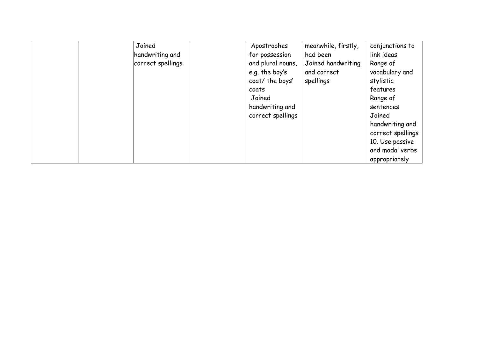| Joined            | Apostrophes       | meanwhile, firstly, | conjunctions to   |
|-------------------|-------------------|---------------------|-------------------|
| handwriting and   | for possession    | had been            | link ideas        |
| correct spellings | and plural nouns, | Joined handwriting  | Range of          |
|                   | e.g. the boy's    | and correct         | vocabulary and    |
|                   | coat/ the boys'   | spellings           | stylistic         |
|                   | coats             |                     | features          |
|                   | Joined            |                     | Range of          |
|                   | handwriting and   |                     | sentences         |
|                   | correct spellings |                     | Joined            |
|                   |                   |                     | handwriting and   |
|                   |                   |                     | correct spellings |
|                   |                   |                     | 10. Use passive   |
|                   |                   |                     | and modal verbs   |
|                   |                   |                     | appropriately     |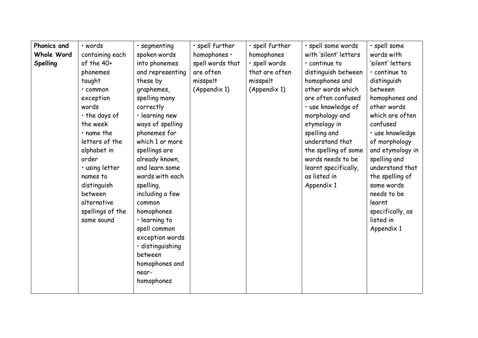| Phonics and | · words          | · segmenting        | · spell further  | · spell further | · spell some words    | · spell some        |
|-------------|------------------|---------------------|------------------|-----------------|-----------------------|---------------------|
| Whole Word  | containing each  | spoken words        | homophones .     | homophones      | with 'silent' letters | words with          |
| Spelling    | of the 40+       | into phonemes       | spell words that | · spell words   | $\cdot$ continue to   | 'silent' letters    |
|             | phonemes         | and representing    | are often        | that are often  | distinguish between   | $\cdot$ continue to |
|             | taught           | these by            | misspelt         | misspelt        | homophones and        | distinguish         |
|             | · common         | graphemes,          | (Appendix 1)     | (Appendix 1)    | other words which     | between             |
|             | exception        | spelling many       |                  |                 | are often confused    | homophones and      |
|             | words            | correctly           |                  |                 | · use knowledge of    | other words         |
|             | · the days of    | · learning new      |                  |                 | morphology and        | which are often     |
|             | the week         | ways of spelling    |                  |                 | etymology in          | confused            |
|             | $\cdot$ name the | phonemes for        |                  |                 | spelling and          | · use knowledge     |
|             | letters of the   | which 1 or more     |                  |                 | understand that       | of morphology       |
|             | alphabet in      | spellings are       |                  |                 | the spelling of some  | and etymology in    |
|             | order            | already known,      |                  |                 | words needs to be     | spelling and        |
|             | · using letter   | and learn some      |                  |                 | learnt specifically,  | understand that     |
|             | names to         | words with each     |                  |                 | as listed in          | the spelling of     |
|             | distinguish      | spelling,           |                  |                 | Appendix 1            | some words          |
|             | between          | including a few     |                  |                 |                       | needs to be         |
|             | alternative      | common              |                  |                 |                       | learnt              |
|             | spellings of the | homophones          |                  |                 |                       | specifically, as    |
|             | same sound       | $\cdot$ learning to |                  |                 |                       | listed in           |
|             |                  | spell common        |                  |                 |                       | Appendix 1          |
|             |                  | exception words     |                  |                 |                       |                     |
|             |                  | · distinguishing    |                  |                 |                       |                     |
|             |                  | between             |                  |                 |                       |                     |
|             |                  | homophones and      |                  |                 |                       |                     |
|             |                  | near-               |                  |                 |                       |                     |
|             |                  | homophones          |                  |                 |                       |                     |
|             |                  |                     |                  |                 |                       |                     |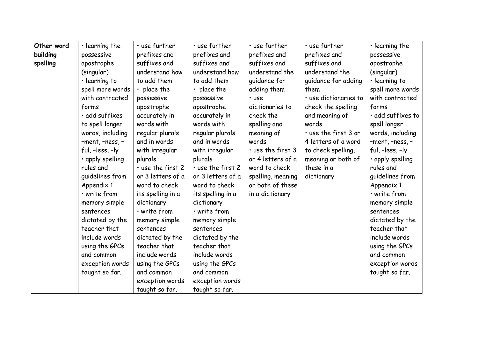| Other word | $\cdot$ learning the | $\cdot$ use further     | · use further           | $\cdot$ use further     | · use further         | $\cdot$ learning the   |
|------------|----------------------|-------------------------|-------------------------|-------------------------|-----------------------|------------------------|
| building   | possessive           | prefixes and            | prefixes and            | prefixes and            | prefixes and          | possessive             |
| spelling   | apostrophe           | suffixes and            | suffixes and            | suffixes and            | suffixes and          | apostrophe             |
|            | (singular)           | understand how          | understand how          | understand the          | understand the        | (singular)             |
|            | $\cdot$ learning to  | to add them             | to add them             | quidance for            | quidance for adding   | $\cdot$ learning to    |
|            | spell more words     | $\cdot$ place the       | $\cdot$ place the       | adding them             | them                  | spell more words       |
|            | with contracted      | possessive              | possessive              | · use                   | · use dictionaries to | with contracted        |
|            | forms                | apostrophe              | apostrophe              | dictionaries to         | check the spelling    | forms                  |
|            | · add suffixes       | accurately in           | accurately in           | check the               | and meaning of        | · add suffixes to      |
|            | to spell longer      | words with              | words with              | spelling and            | words                 | spell longer           |
|            | words, including     | regular plurals         | regular plurals         | meaning of              | . use the first 3 or  | words, including       |
|            | -ment, -ness, -      | and in words            | and in words            | words                   | 4 letters of a word   | -ment, -ness, -        |
|            | ful, -less, -ly      | with irregular          | with irregular          | $\cdot$ use the first 3 | to check spelling,    | ful, $-$ less, $-$ ly  |
|            | · apply spelling     | plurals                 | plurals                 | or 4 letters of a       | meaning or both of    | $\cdot$ apply spelling |
|            | rules and            | $\cdot$ use the first 2 | $\cdot$ use the first 2 | word to check           | these in a            | rules and              |
|            | quidelines from      | or 3 letters of a       | or 3 letters of a       | spelling, meaning       | dictionary            | quidelines from        |
|            | Appendix 1           | word to check           | word to check           | or both of these        |                       | Appendix 1             |
|            | · write from         | its spelling in a       | its spelling in a       | in a dictionary         |                       | · write from           |
|            | memory simple        | dictionary              | dictionary              |                         |                       | memory simple          |
|            | sentences            | · write from            | · write from            |                         |                       | sentences              |
|            | dictated by the      | memory simple           | memory simple           |                         |                       | dictated by the        |
|            | teacher that         | sentences               | sentences               |                         |                       | teacher that           |
|            | include words        | dictated by the         | dictated by the         |                         |                       | include words          |
|            | using the GPCs       | teacher that            | teacher that            |                         |                       | using the GPCs         |
|            | and common           | include words           | include words           |                         |                       | and common             |
|            | exception words      | using the GPCs          | using the GPCs          |                         |                       | exception words        |
|            | taught so far.       | and common              | and common              |                         |                       | taught so far.         |
|            |                      | exception words         | exception words         |                         |                       |                        |
|            |                      | taught so far.          | taught so far.          |                         |                       |                        |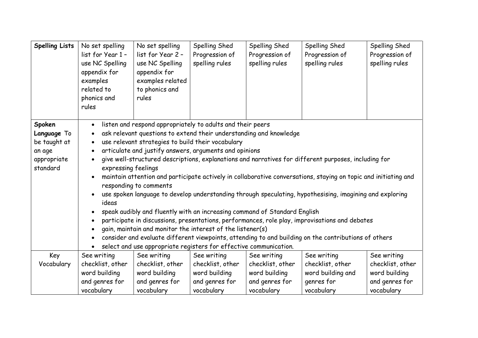| <b>Spelling Lists</b>                                                      | No set spelling<br>list for Year 1 -<br>use NC Spelling<br>appendix for<br>examples<br>related to<br>phonics and<br>rules                                                                                                                                                                                                                                                                                                                                                                                                                                                                                                                                                                                                                                                                                                                                                                                                                                                                                                                                                                            | No set spelling<br>list for Year 2 -<br>use NC Spelling<br>appendix for<br>examples related<br>to phonics and<br>rules | Spelling Shed<br>Progression of<br>spelling rules                 | Spelling Shed<br>Progression of<br>spelling rules                 | Spelling Shed<br>Progression of<br>spelling rules                 | Spelling Shed<br>Progression of<br>spelling rules                 |
|----------------------------------------------------------------------------|------------------------------------------------------------------------------------------------------------------------------------------------------------------------------------------------------------------------------------------------------------------------------------------------------------------------------------------------------------------------------------------------------------------------------------------------------------------------------------------------------------------------------------------------------------------------------------------------------------------------------------------------------------------------------------------------------------------------------------------------------------------------------------------------------------------------------------------------------------------------------------------------------------------------------------------------------------------------------------------------------------------------------------------------------------------------------------------------------|------------------------------------------------------------------------------------------------------------------------|-------------------------------------------------------------------|-------------------------------------------------------------------|-------------------------------------------------------------------|-------------------------------------------------------------------|
| Spoken<br>Language To<br>be taught at<br>an age<br>appropriate<br>standard | listen and respond appropriately to adults and their peers<br>$\bullet$<br>ask relevant questions to extend their understanding and knowledge<br>use relevant strategies to build their vocabulary<br>articulate and justify answers, arguments and opinions<br>$\bullet$<br>give well-structured descriptions, explanations and narratives for different purposes, including for<br>expressing feelings<br>maintain attention and participate actively in collaborative conversations, staying on topic and initiating and<br>responding to comments<br>use spoken language to develop understanding through speculating, hypothesising, imagining and exploring<br>ideas<br>speak audibly and fluently with an increasing command of Standard English<br>participate in discussions, presentations, performances, role play, improvisations and debates<br>gain, maintain and monitor the interest of the listener(s)<br>consider and evaluate different viewpoints, attending to and building on the contributions of others<br>select and use appropriate registers for effective communication. |                                                                                                                        |                                                                   |                                                                   |                                                                   |                                                                   |
| Key                                                                        | See writing                                                                                                                                                                                                                                                                                                                                                                                                                                                                                                                                                                                                                                                                                                                                                                                                                                                                                                                                                                                                                                                                                          | See writing                                                                                                            | See writing                                                       | See writing                                                       | See writing                                                       | See writing                                                       |
| Vocabulary                                                                 | checklist, other<br>word building<br>and genres for<br>vocabulary                                                                                                                                                                                                                                                                                                                                                                                                                                                                                                                                                                                                                                                                                                                                                                                                                                                                                                                                                                                                                                    | checklist, other<br>word building<br>and genres for<br>vocabulary                                                      | checklist, other<br>word building<br>and genres for<br>vocabulary | checklist, other<br>word building<br>and genres for<br>vocabulary | checklist, other<br>word building and<br>genres for<br>vocabulary | checklist, other<br>word building<br>and genres for<br>vocabulary |